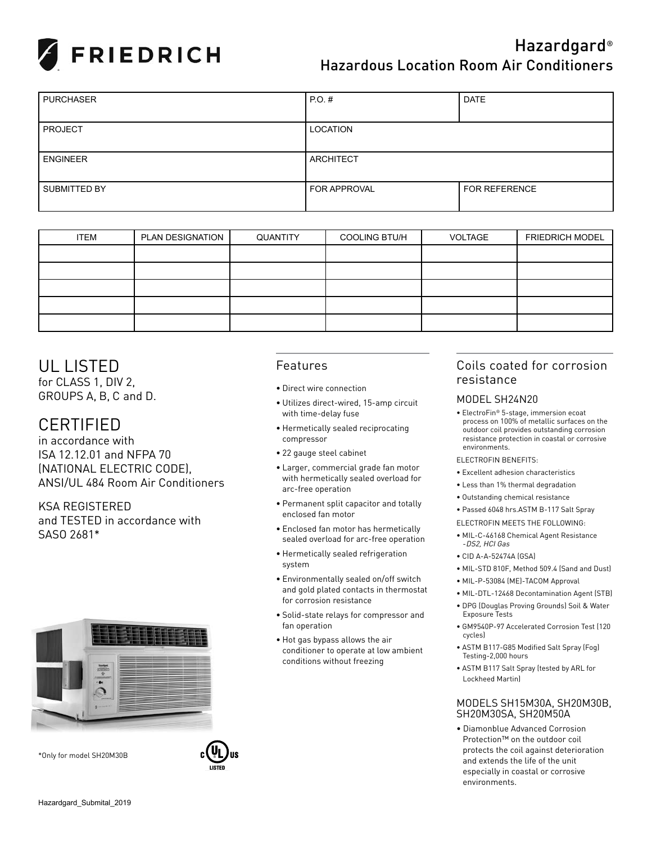

# Hazardgard® Hazardous Location Room Air Conditioners

| <b>PURCHASER</b> | $PO.$ #             | <b>DATE</b>          |
|------------------|---------------------|----------------------|
|                  |                     |                      |
| <b>PROJECT</b>   | LOCATION            |                      |
|                  |                     |                      |
| <b>ENGINEER</b>  | ARCHITECT           |                      |
|                  |                     |                      |
| SUBMITTED BY     | <b>FOR APPROVAL</b> | <b>FOR REFERENCE</b> |
|                  |                     |                      |

| <b>ITEM</b> | PLAN DESIGNATION | QUANTITY | <b>COOLING BTU/H</b> | VOLTAGE | <b>FRIEDRICH MODEL</b> |  |  |
|-------------|------------------|----------|----------------------|---------|------------------------|--|--|
|             |                  |          |                      |         |                        |  |  |
|             |                  |          |                      |         |                        |  |  |
|             |                  |          |                      |         |                        |  |  |
|             |                  |          |                      |         |                        |  |  |
|             |                  |          |                      |         |                        |  |  |

## UL LISTED

for CLASS 1, DIV 2, GROUPS A, B, C and D.

## CERTIFIED

in accordance with ISA 12.12.01 and NFPA 70 (NATIONAL ELECTRIC CODE), ANSI/UL 484 Room Air Conditioners

KSA REGISTERED and TESTED in accordance with SASO 2681\*



LISTED

\*Only for model SH20M30B

### Features

- Direct wire connection
- Utilizes direct-wired, 15-amp circuit with time-delay fuse
- Hermetically sealed reciprocating compressor
- 22 gauge steel cabinet
- Larger, commercial grade fan motor with hermetically sealed overload for arc-free operation
- Permanent split capacitor and totally enclosed fan motor
- Enclosed fan motor has hermetically sealed overload for arc-free operation
- Hermetically sealed refrigeration system
- Environmentally sealed on/off switch and gold plated contacts in thermostat for corrosion resistance
- Solid-state relays for compressor and fan operation
- Hot gas bypass allows the air conditioner to operate at low ambient conditions without freezing

### Coils coated for corrosion resistance

#### MODEL SH24N20

- ElectroFin® 5-stage, immersion ecoat process on 100% of metallic surfaces on the outdoor coil provides outstanding corrosion resistance protection in coastal or corrosive environments.
- ELECTROFIN BENEFITS:
- Excellent adhesion characteristics
- Less than 1% thermal degradation
- Outstanding chemical resistance
- Passed 6048 hrs.ASTM B-117 Salt Spray
- ELECTROFIN MEETS THE FOLLOWING:
	- MIL-C-46168 Chemical Agent Resistance -DS2, HCI Gas
	- CID A-A-52474A (GSA)
	- MIL-STD 810F, Method 509.4 (Sand and Dust)
- MIL-P-53084 (ME)-TACOM Approval
- MIL-DTL-12468 Decontamination Agent (STB) • DPG (Douglas Proving Grounds) Soil & Water Exposure Tests
- GM9540P-97 Accelerated Corrosion Test (120 cycles)
- ASTM B117-G85 Modified Salt Spray (Fog) Testing-2,000 hours
- ASTM B117 Salt Spray (tested by ARL for Lockheed Martin)

#### MODELS SH15M30A, SH20M30B, SH20M30SA, SH20M50A

• Diamonblue Advanced Corrosion Protection™ on the outdoor coil protects the coil against deterioration and extends the life of the unit especially in coastal or corrosive environments.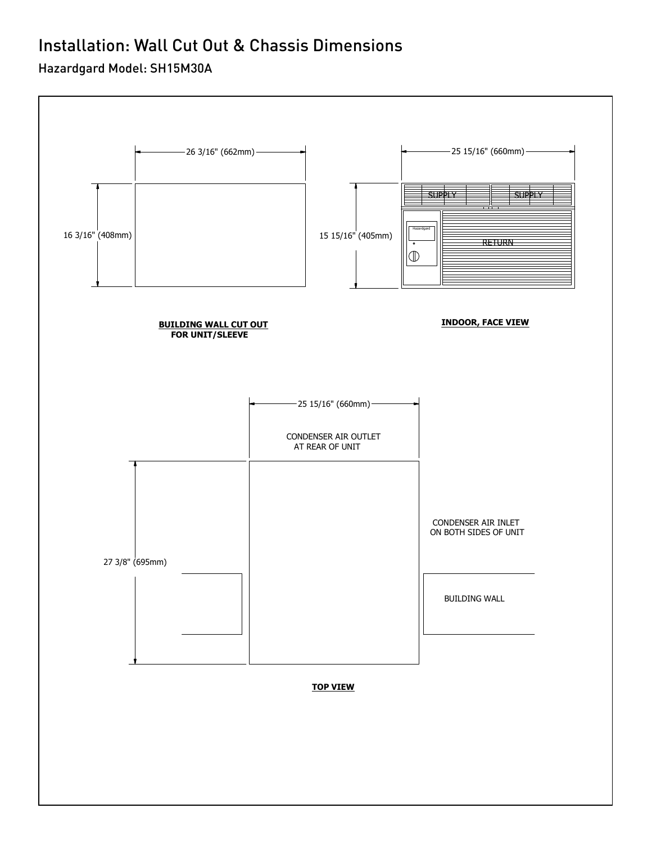# Installation: Wall Cut Out & Chassis Dimensions

### Hazardgard Model: SH15M30A

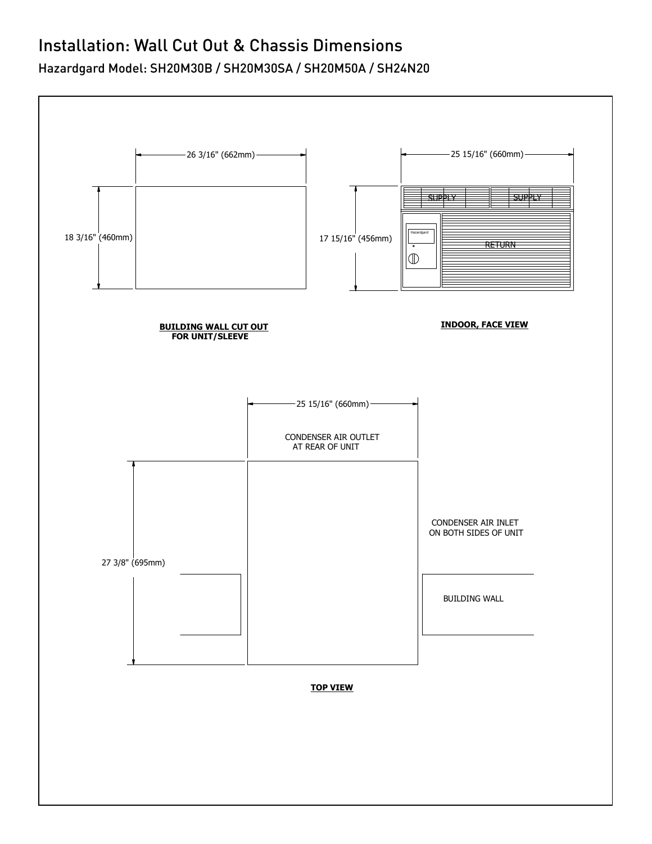# Installation: Wall Cut Out & Chassis Dimensions

Hazardgard Model: SH20M30B / SH20M30SA / SH20M50A / SH24N20